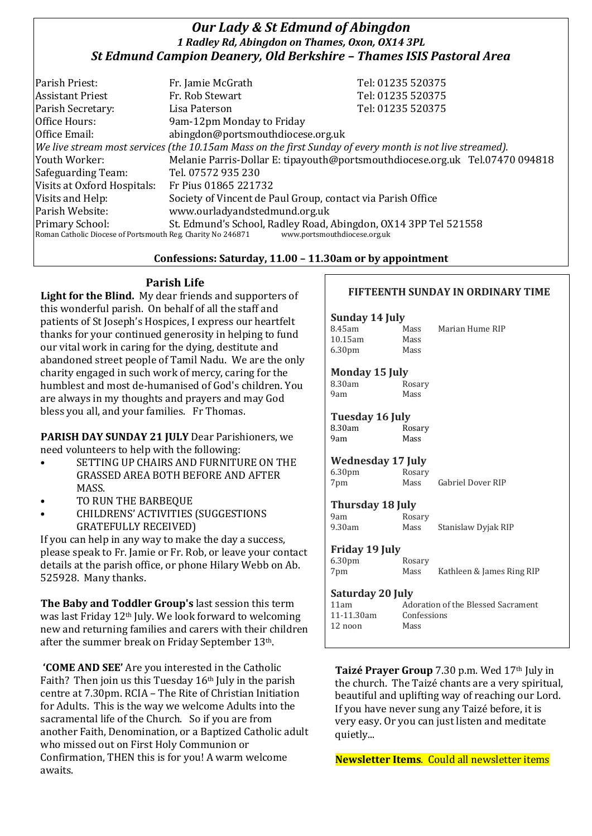## *Our Lady & St Edmund of Abingdon 1 Radley Rd, Abingdon on Thames, Oxon, OX14 3PL St Edmund Campion Deanery, Old Berkshire – Thames ISIS Pastoral Area*

| Parish Priest:                                              | Fr. Jamie McGrath                                                                                            | Tel: 01235 520375                                                            |
|-------------------------------------------------------------|--------------------------------------------------------------------------------------------------------------|------------------------------------------------------------------------------|
| <b>Assistant Priest</b>                                     | Fr. Rob Stewart                                                                                              | Tel: 01235 520375                                                            |
| Parish Secretary:                                           | Lisa Paterson                                                                                                | Tel: 01235 520375                                                            |
| Office Hours:                                               | 9am-12pm Monday to Friday                                                                                    |                                                                              |
| Office Email:                                               | abingdon@portsmouthdiocese.org.uk                                                                            |                                                                              |
|                                                             | $ $ We live stream most services (the 10.15am Mass on the first Sunday of every month is not live streamed). |                                                                              |
| Youth Worker:                                               |                                                                                                              | Melanie Parris-Dollar E: tipayouth@portsmouthdiocese.org.uk Tel.07470 094818 |
| Safeguarding Team:                                          | Tel. 07572 935 230                                                                                           |                                                                              |
| Visits at Oxford Hospitals:                                 | Fr Pius 01865 221732                                                                                         |                                                                              |
| Visits and Help:                                            | Society of Vincent de Paul Group, contact via Parish Office                                                  |                                                                              |
| Parish Website:                                             | www.ourladyandstedmund.org.uk                                                                                |                                                                              |
| <b>Primary School:</b>                                      | St. Edmund's School, Radley Road, Abingdon, OX14 3PP Tel 521558                                              |                                                                              |
| Roman Catholic Diocese of Portsmouth Reg. Charity No 246871 | www.portsmouthdiocese.org.uk                                                                                 |                                                                              |

### **Confessions: Saturday, 11.00 – 11.30am or by appointment**

## **Parish Life**

**Light for the Blind.** My dear friends and supporters of this wonderful parish. On behalf of all the staff and patients of St Joseph's Hospices, I express our heartfelt thanks for your continued generosity in helping to fund our vital work in caring for the dying, destitute and abandoned street people of Tamil Nadu. We are the only charity engaged in such work of mercy, caring for the humblest and most de-humanised of God's children. You are always in my thoughts and prayers and may God bless you all, and your families. Fr Thomas.

**PARISH DAY SUNDAY 21 JULY** Dear Parishioners, we need volunteers to help with the following:

- SETTING UP CHAIRS AND FURNITURE ON THE GRASSED AREA BOTH BEFORE AND AFTER MASS.
- TO RUN THE BARBEQUE
- CHILDRENS' ACTIVITIES (SUGGESTIONS GRATEFULLY RECEIVED)

If you can help in any way to make the day a success, please speak to Fr. Jamie or Fr. Rob, or leave your contact details at the parish office, or phone Hilary Webb on Ab. 525928. Many thanks.

**The Baby and Toddler Group's** last session this term was last Friday 12th July. We look forward to welcoming new and returning families and carers with their children after the summer break on Friday September 13th.

**'COME AND SEE'** Are you interested in the Catholic Faith? Then join us this Tuesday 16th July in the parish centre at 7.30pm. RCIA – The Rite of Christian Initiation for Adults. This is the way we welcome Adults into the sacramental life of the Church. So if you are from another Faith, Denomination, or a Baptized Catholic adult who missed out on First Holy Communion or Confirmation, THEN this is for you! A warm welcome awaits.

## **FIFTEENTH SUNDAY IN ORDINARY TIME**

#### **Sunday 14 July**

| 8.45am             | Mass |
|--------------------|------|
| $10.15$ am         | Mass |
| 6.30 <sub>pm</sub> | Mass |

Marian Hume RIP

## **Monday 15 July**

| 8.30am | Rosary |
|--------|--------|
| 9am    | Mass   |

#### **Tuesday 16 July** 8.30am Rosary 9am Mass

### **Wednesday 17 July**

| 6.30 <sub>pm</sub> | Rosary |                          |
|--------------------|--------|--------------------------|
| 7pm                | Mass   | <b>Gabriel Dover RIP</b> |

## **Thursday 18 July**

| 9am    | Rosary |                     |
|--------|--------|---------------------|
| 9.30am | Mass   | Stanislaw Dyjak RIP |

#### **Friday 19 July**

| 6.30 <sub>pm</sub> | Rosary |                           |
|--------------------|--------|---------------------------|
| 7pm                | Mass   | Kathleen & James Ring RIP |
|                    |        |                           |

#### **Saturday 20 July**

| 11am       | Adoration of the Blessed Sacrament |
|------------|------------------------------------|
| 11-11.30am | Confessions                        |
| $12$ noon  | Mass                               |
|            |                                    |

**Taizé Prayer Group** 7.30 p.m. Wed 17th July in the church. The Taizé chants are a very spiritual, beautiful and uplifting way of reaching our Lord. If you have never sung any Taizé before, it is very easy. Or you can just listen and meditate quietly...

**Newsletter Items**. Could all newsletter items